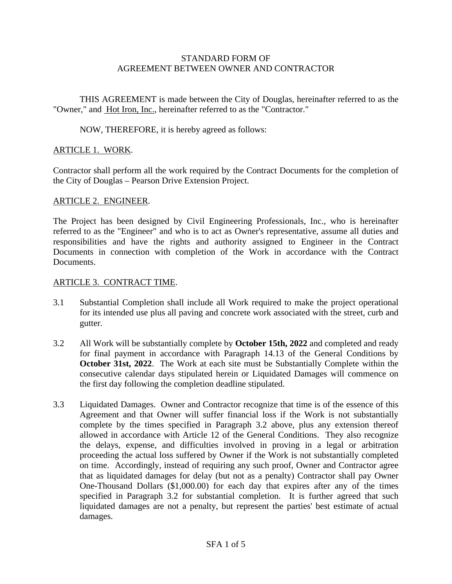#### STANDARD FORM OF AGREEMENT BETWEEN OWNER AND CONTRACTOR

THIS AGREEMENT is made between the City of Douglas, hereinafter referred to as the "Owner," and Hot Iron, Inc., hereinafter referred to as the "Contractor."

NOW, THEREFORE, it is hereby agreed as follows:

## ARTICLE 1. WORK.

Contractor shall perform all the work required by the Contract Documents for the completion of the City of Douglas – Pearson Drive Extension Project.

### ARTICLE 2. ENGINEER.

The Project has been designed by Civil Engineering Professionals, Inc., who is hereinafter referred to as the "Engineer" and who is to act as Owner's representative, assume all duties and responsibilities and have the rights and authority assigned to Engineer in the Contract Documents in connection with completion of the Work in accordance with the Contract Documents.

### ARTICLE 3. CONTRACT TIME.

- 3.1 Substantial Completion shall include all Work required to make the project operational for its intended use plus all paving and concrete work associated with the street, curb and gutter.
- 3.2 All Work will be substantially complete by **October 15th, 2022** and completed and ready for final payment in accordance with Paragraph 14.13 of the General Conditions by **October 31st, 2022**. The Work at each site must be Substantially Complete within the consecutive calendar days stipulated herein or Liquidated Damages will commence on the first day following the completion deadline stipulated.
- 3.3 Liquidated Damages. Owner and Contractor recognize that time is of the essence of this Agreement and that Owner will suffer financial loss if the Work is not substantially complete by the times specified in Paragraph 3.2 above, plus any extension thereof allowed in accordance with Article 12 of the General Conditions. They also recognize the delays, expense, and difficulties involved in proving in a legal or arbitration proceeding the actual loss suffered by Owner if the Work is not substantially completed on time. Accordingly, instead of requiring any such proof, Owner and Contractor agree that as liquidated damages for delay (but not as a penalty) Contractor shall pay Owner One-Thousand Dollars (\$1,000.00) for each day that expires after any of the times specified in Paragraph 3.2 for substantial completion. It is further agreed that such liquidated damages are not a penalty, but represent the parties' best estimate of actual damages.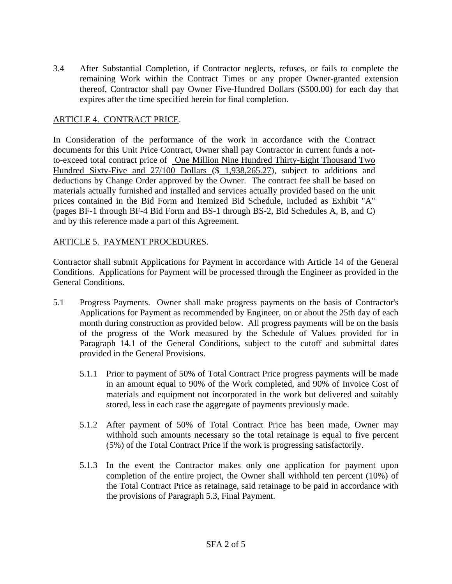3.4 After Substantial Completion, if Contractor neglects, refuses, or fails to complete the remaining Work within the Contract Times or any proper Owner-granted extension thereof, Contractor shall pay Owner Five-Hundred Dollars (\$500.00) for each day that expires after the time specified herein for final completion.

## ARTICLE 4. CONTRACT PRICE.

In Consideration of the performance of the work in accordance with the Contract documents for this Unit Price Contract, Owner shall pay Contractor in current funds a notto-exceed total contract price of One Million Nine Hundred Thirty-Eight Thousand Two Hundred Sixty-Five and 27/100 Dollars (\$ 1,938,265.27), subject to additions and deductions by Change Order approved by the Owner. The contract fee shall be based on materials actually furnished and installed and services actually provided based on the unit prices contained in the Bid Form and Itemized Bid Schedule, included as Exhibit "A" (pages BF-1 through BF-4 Bid Form and BS-1 through BS-2, Bid Schedules A, B, and C) and by this reference made a part of this Agreement.

### ARTICLE 5. PAYMENT PROCEDURES.

Contractor shall submit Applications for Payment in accordance with Article 14 of the General Conditions. Applications for Payment will be processed through the Engineer as provided in the General Conditions.

- 5.1 Progress Payments. Owner shall make progress payments on the basis of Contractor's Applications for Payment as recommended by Engineer, on or about the 25th day of each month during construction as provided below. All progress payments will be on the basis of the progress of the Work measured by the Schedule of Values provided for in Paragraph 14.1 of the General Conditions, subject to the cutoff and submittal dates provided in the General Provisions.
	- 5.1.1 Prior to payment of 50% of Total Contract Price progress payments will be made in an amount equal to 90% of the Work completed, and 90% of Invoice Cost of materials and equipment not incorporated in the work but delivered and suitably stored, less in each case the aggregate of payments previously made.
	- 5.1.2 After payment of 50% of Total Contract Price has been made, Owner may withhold such amounts necessary so the total retainage is equal to five percent (5%) of the Total Contract Price if the work is progressing satisfactorily.
	- 5.1.3 In the event the Contractor makes only one application for payment upon completion of the entire project, the Owner shall withhold ten percent (10%) of the Total Contract Price as retainage, said retainage to be paid in accordance with the provisions of Paragraph 5.3, Final Payment.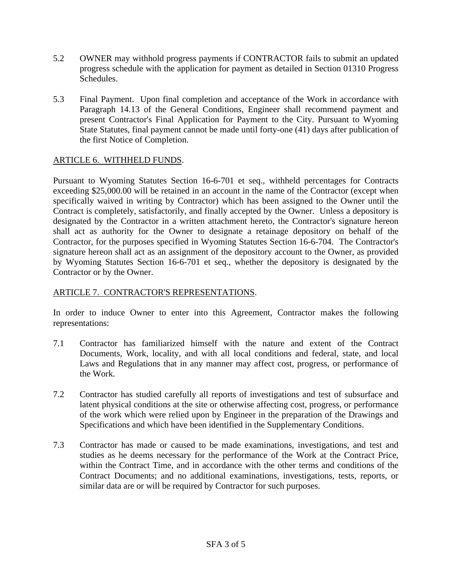- 5.2 OWNER may withhold progress payments if CONTRACTOR fails to submit an updated progress schedule with the application for payment as detailed in Section 01310 Progress Schedules.
- 5.3 Final Payment. Upon final completion and acceptance of the Work in accordance with Paragraph 14.13 of the General Conditions, Engineer shall recommend payment and present Contractor's Final Application for Payment to the City. Pursuant to Wyoming State Statutes, final payment cannot be made until forty-one (41) days after publication of the first Notice of Completion.

# ARTICLE 6. WITHHELD FUNDS.

Pursuant to Wyoming Statutes Section 16-6-701 et seq., withheld percentages for Contracts exceeding \$25,000.00 will be retained in an account in the name of the Contractor (except when specifically waived in writing by Contractor) which has been assigned to the Owner until the Contract is completely, satisfactorily, and finally accepted by the Owner. Unless a depository is designated by the Contractor in a written attachment hereto, the Contractor's signature hereon shall act as authority for the Owner to designate a retainage depository on behalf of the Contractor, for the purposes specified in Wyoming Statutes Section 16-6-704. The Contractor's signature hereon shall act as an assignment of the depository account to the Owner, as provided by Wyoming Statutes Section 16-6-701 et seq., whether the depository is designated by the Contractor or by the Owner.

# ARTICLE 7. CONTRACTOR'S REPRESENTATIONS.

In order to induce Owner to enter into this Agreement, Contractor makes the following representations:

- 7.1 Contractor has familiarized himself with the nature and extent of the Contract Documents, Work, locality, and with all local conditions and federal, state, and local Laws and Regulations that in any manner may affect cost, progress, or performance of the Work.
- 7.2 Contractor has studied carefully all reports of investigations and test of subsurface and latent physical conditions at the site or otherwise affecting cost, progress, or performance of the work which were relied upon by Engineer in the preparation of the Drawings and Specifications and which have been identified in the Supplementary Conditions.
- 7.3 Contractor has made or caused to be made examinations, investigations, and test and studies as he deems necessary for the performance of the Work at the Contract Price, within the Contract Time, and in accordance with the other terms and conditions of the Contract Documents; and no additional examinations, investigations, tests, reports, or similar data are or will be required by Contractor for such purposes.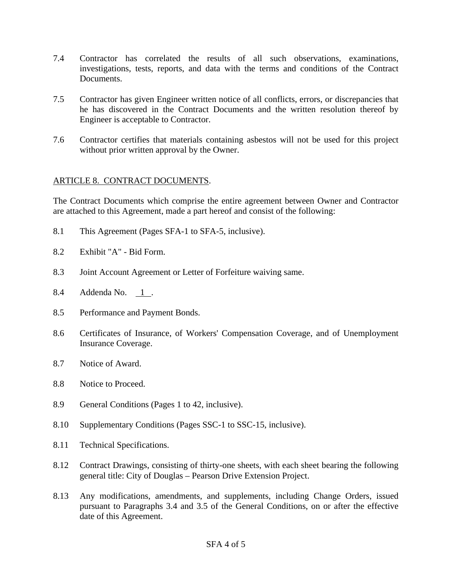- 7.4 Contractor has correlated the results of all such observations, examinations, investigations, tests, reports, and data with the terms and conditions of the Contract Documents.
- 7.5 Contractor has given Engineer written notice of all conflicts, errors, or discrepancies that he has discovered in the Contract Documents and the written resolution thereof by Engineer is acceptable to Contractor.
- 7.6 Contractor certifies that materials containing asbestos will not be used for this project without prior written approval by the Owner.

# ARTICLE 8. CONTRACT DOCUMENTS.

The Contract Documents which comprise the entire agreement between Owner and Contractor are attached to this Agreement, made a part hereof and consist of the following:

- 8.1 This Agreement (Pages SFA-1 to SFA-5, inclusive).
- 8.2 Exhibit "A" Bid Form.
- 8.3 Joint Account Agreement or Letter of Forfeiture waiving same.
- 8.4 Addenda No. 1 .
- 8.5 Performance and Payment Bonds.
- 8.6 Certificates of Insurance, of Workers' Compensation Coverage, and of Unemployment Insurance Coverage.
- 8.7 Notice of Award.
- 8.8 Notice to Proceed.
- 8.9 General Conditions (Pages 1 to 42, inclusive).
- 8.10 Supplementary Conditions (Pages SSC-1 to SSC-15, inclusive).
- 8.11 Technical Specifications.
- 8.12 Contract Drawings, consisting of thirty-one sheets, with each sheet bearing the following general title: City of Douglas – Pearson Drive Extension Project.
- 8.13 Any modifications, amendments, and supplements, including Change Orders, issued pursuant to Paragraphs 3.4 and 3.5 of the General Conditions, on or after the effective date of this Agreement.